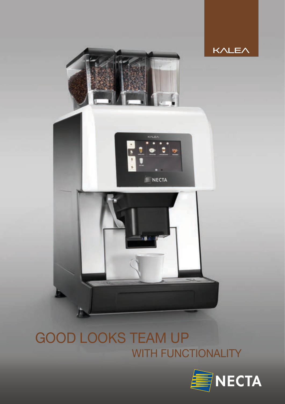



# GOOD LOOKS TEAM UP WITH FUNCTIONALITY

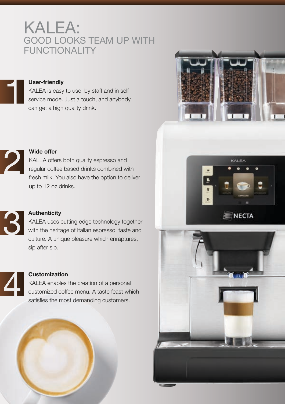# KALEA: GOOD LOOKS TEAM UP WITH FUNCTIONALITY

#### User-friendly

KALEA is easy to use, by staff and in selfservice mode. Just a touch, and anybody can get a high quality drink.





#### Wide offer

KALEA offers both quality espresso and regular coffee based drinks combined with fresh milk. You also have the option to deliver up to 12 oz drinks.



## **Authenticity**

KALEA uses cutting edge technology together with the heritage of Italian espresso, taste and culture. A unique pleasure which enraptures, sip after sip.



## **Customization**

KALEA enables the creation of a personal customized coffee menu. A taste feast which satisfies the most demanding customers.



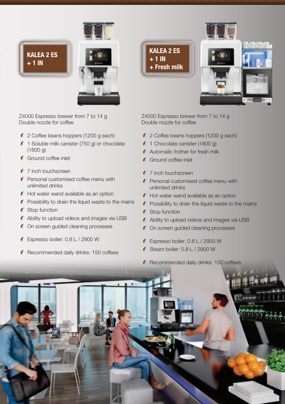

KALEA 2 ES  $+1$  IN



Z4000 Espresso brewer from 7 to 14 g Double nozzle for coffee

- 2 Coffee beans hoppers (1200 g each)
- $\ell$  1 Soluble milk canister (750 g) or chocolate (1800 g)
- Ground coffee inlet
- $\mathcal O$  7 inch touchscreen
- **Personal customised coffee menu with** unlimited drinks
- $\mathcal O$  Hot water wand available as an option
- $\mathcal O$  Possibility to drain the liquid waste to the mains
- **O** Stop function
- Ability to upload videos and images via USB
- **O** On screen guided cleaning processes
- Espresso boiler: 0.8 L / 2900 W
- Recommended daily drinks: 150 coffees

KALEA 2 ES  $+1$  IN + Fresh milk

Z4000 Espresso brewer from 7 to 14 g Double nozzle for coffee

- 2 Coffee beans hoppers (1200 g each)
- $O$  1 Chocolate canister (1800 g)
- Automatic frother for fresh milk
- **C** Ground coffee inlet
- **0** 7 inch touchscreen
- $\mathcal O$  Personal customised coffee menu with unlimited drinks
- $\mathcal O$  Hot water wand available as an option
- $\mathcal O$  Possibility to drain the liquid waste to the mains
- $\mathcal O$  Stop function
- Ability to upload videos and images via USB
- $\mathcal O$  On screen guided cleaning processes
- Espresso boiler: 0.8 L / 2900 W
- $\bullet$  Steam boiler: 0.8 L / 2900 W
- **C** Recommended daily drinks: 150 coffees